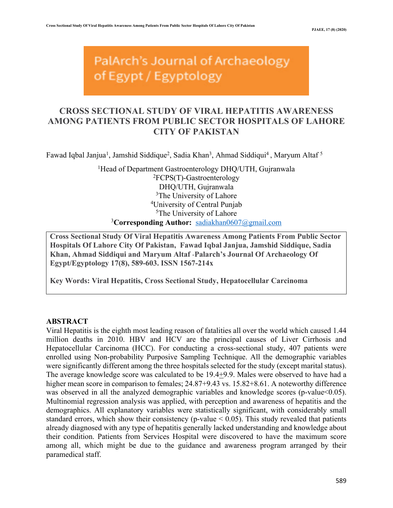PalArch's Journal of Archaeology of Egypt / Egyptology

# **CROSS SECTIONAL STUDY OF VIRAL HEPATITIS AWARENESS AMONG PATIENTS FROM PUBLIC SECTOR HOSPITALS OF LAHORE CITY OF PAKISTAN**

Fawad Iqbal Janjua<sup>1</sup>, Jamshid Siddique<sup>2</sup>, Sadia Khan<sup>3</sup>, Ahmad Siddiqui<sup>4</sup>, Maryum Altaf <sup>5</sup>

<sup>1</sup>Head of Department Gastroenterology DHQ/UTH, Gujranwala 2 FCPS(T)-Gastroenterology DHQ/UTH, Gujranwala <sup>3</sup>The University of Lahore 4 University of Central Punjab 5 The University of Lahore 3 **Corresponding Author:** sadiakhan0607@gmail.com

**Cross Sectional Study Of Viral Hepatitis Awareness Among Patients From Public Sector Hospitals Of Lahore City Of Pakistan, Fawad Iqbal Janjua, Jamshid Siddique, Sadia Khan, Ahmad Siddiqui and Maryum Altaf** -**Palarch's Journal Of Archaeology Of Egypt/Egyptology 17(8), 589-603. ISSN 1567-214x**

**Key Words: Viral Hepatitis, Cross Sectional Study, Hepatocellular Carcinoma**

### **ABSTRACT**

Viral Hepatitis is the eighth most leading reason of fatalities all over the world which caused 1.44 million deaths in 2010. HBV and HCV are the principal causes of Liver Cirrhosis and Hepatocellular Carcinoma (HCC). For conducting a cross-sectional study, 407 patients were enrolled using Non-probability Purposive Sampling Technique. All the demographic variables were significantly different among the three hospitals selected for the study (except marital status). The average knowledge score was calculated to be 19.4+9.9. Males were observed to have had a higher mean score in comparison to females; 24.87+9.43 vs. 15.82+8.61. A noteworthy difference was observed in all the analyzed demographic variables and knowledge scores (p-value  $0.05$ ). Multinomial regression analysis was applied, with perception and awareness of hepatitis and the demographics. All explanatory variables were statistically significant, with considerably small standard errors, which show their consistency (p-value  $< 0.05$ ). This study revealed that patients already diagnosed with any type of hepatitis generally lacked understanding and knowledge about their condition. Patients from Services Hospital were discovered to have the maximum score among all, which might be due to the guidance and awareness program arranged by their paramedical staff.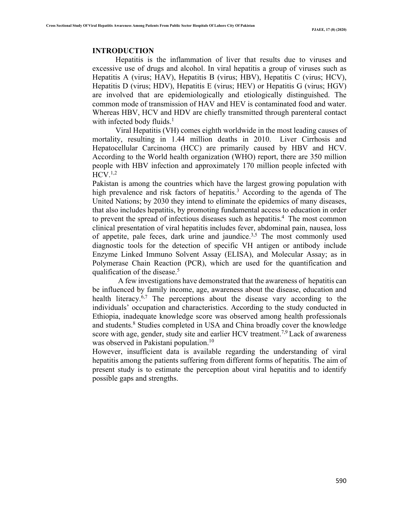### **INTRODUCTION**

Hepatitis is the inflammation of liver that results due to viruses and excessive use of drugs and alcohol. In viral hepatitis a group of viruses such as Hepatitis A (virus; HAV), Hepatitis B (virus; HBV), Hepatitis C (virus; HCV), Hepatitis D (virus; HDV), Hepatitis E (virus; HEV) or Hepatitis G (virus; HGV) are involved that are epidemiologically and etiologically distinguished. The common mode of transmission of HAV and HEV is contaminated food and water. Whereas HBV, HCV and HDV are chiefly transmitted through parenteral contact with infected body fluids. $<sup>1</sup>$ </sup>

Viral Hepatitis (VH) comes eighth worldwide in the most leading causes of mortality, resulting in 1.44 million deaths in 2010. Liver Cirrhosis and Hepatocellular Carcinoma (HCC) are primarily caused by HBV and HCV. According to the World health organization (WHO) report, there are 350 million people with HBV infection and approximately 170 million people infected with  $HCV.<sup>1,2</sup>$ 

Pakistan is among the countries which have the largest growing population with high prevalence and risk factors of hepatitis.<sup>3</sup> According to the agenda of The United Nations; by 2030 they intend to eliminate the epidemics of many diseases, that also includes hepatitis, by promoting fundamental access to education in order to prevent the spread of infectious diseases such as hepatitis.<sup>4</sup> The most common clinical presentation of viral hepatitis includes fever, abdominal pain, nausea, loss of appetite, pale feces, dark urine and jaundice.<sup>3,5</sup> The most commonly used diagnostic tools for the detection of specific VH antigen or antibody include Enzyme Linked Immuno Solvent Assay (ELISA), and Molecular Assay; as in Polymerase Chain Reaction (PCR), which are used for the quantification and qualification of the disease. 5

 A few investigations have demonstrated that the awareness of hepatitis can be influenced by family income, age, awareness about the disease, education and health literacy.<sup>6,7</sup> The perceptions about the disease vary according to the individuals' occupation and characteristics. According to the study conducted in Ethiopia, inadequate knowledge score was observed among health professionals and students.8 Studies completed in USA and China broadly cover the knowledge score with age, gender, study site and earlier HCV treatment.<sup>7,9</sup> Lack of awareness was observed in Pakistani population.<sup>10</sup>

However, insufficient data is available regarding the understanding of viral hepatitis among the patients suffering from different forms of hepatitis. The aim of present study is to estimate the perception about viral hepatitis and to identify possible gaps and strengths.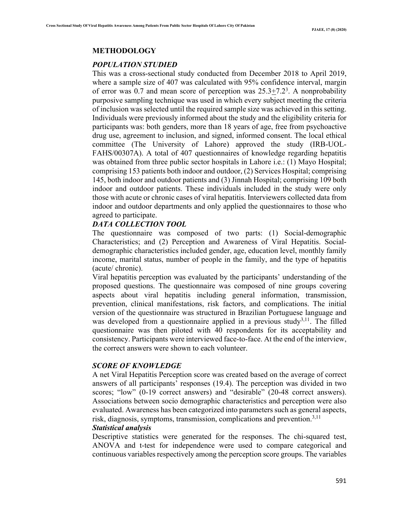#### **METHODOLOGY**

### *POPULATION STUDIED*

This was a cross-sectional study conducted from December 2018 to April 2019, where a sample size of 407 was calculated with 95% confidence interval, margin of error was 0.7 and mean score of perception was  $25.3 \pm 7.2$ <sup>3</sup>. A nonprobability purposive sampling technique was used in which every subject meeting the criteria of inclusion was selected until the required sample size was achieved in this setting. Individuals were previously informed about the study and the eligibility criteria for participants was: both genders, more than 18 years of age, free from psychoactive drug use, agreement to inclusion, and signed, informed consent. The local ethical committee (The University of Lahore) approved the study (IRB-UOL-FAHS/00307A). A total of 407 questionnaires of knowledge regarding hepatitis was obtained from three public sector hospitals in Lahore i.e.: (1) Mayo Hospital; comprising 153 patients both indoor and outdoor, (2) Services Hospital; comprising 145, both indoor and outdoor patients and (3) Jinnah Hospital; comprising 109 both indoor and outdoor patients. These individuals included in the study were only those with acute or chronic cases of viral hepatitis. Interviewers collected data from indoor and outdoor departments and only applied the questionnaires to those who agreed to participate.

### *DATA COLLECTION TOOL*

The questionnaire was composed of two parts: (1) Social-demographic Characteristics; and (2) Perception and Awareness of Viral Hepatitis. Socialdemographic characteristics included gender, age, education level, monthly family income, marital status, number of people in the family, and the type of hepatitis (acute/ chronic).

Viral hepatitis perception was evaluated by the participants' understanding of the proposed questions. The questionnaire was composed of nine groups covering aspects about viral hepatitis including general information, transmission, prevention, clinical manifestations, risk factors, and complications. The initial version of the questionnaire was structured in Brazilian Portuguese language and was developed from a questionnaire applied in a previous study<sup>3,11</sup>. The filled questionnaire was then piloted with 40 respondents for its acceptability and consistency. Participants were interviewed face-to-face. At the end of the interview, the correct answers were shown to each volunteer.

### *SCORE OF KNOWLEDGE*

A net Viral Hepatitis Perception score was created based on the average of correct answers of all participants' responses (19.4). The perception was divided in two scores; "low" (0-19 correct answers) and "desirable" (20-48 correct answers). Associations between socio demographic characteristics and perception were also evaluated. Awareness has been categorized into parameters such as general aspects, risk, diagnosis, symptoms, transmission, complications and prevention.<sup>3,11</sup>

### *Statistical analysis*

Descriptive statistics were generated for the responses. The chi-squared test, ANOVA and t-test for independence were used to compare categorical and continuous variables respectively among the perception score groups. The variables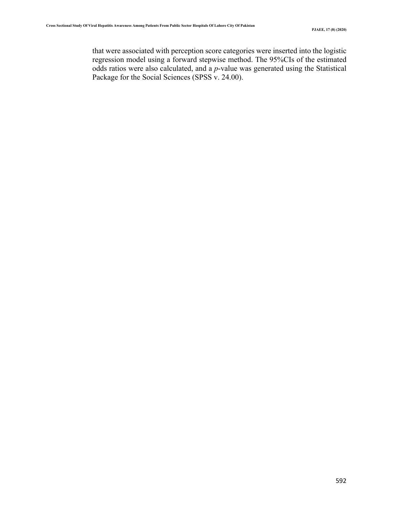that were associated with perception score categories were inserted into the logistic regression model using a forward stepwise method. The 95%CIs of the estimated odds ratios were also calculated, and a *p*-value was generated using the Statistical Package for the Social Sciences (SPSS v. 24.00).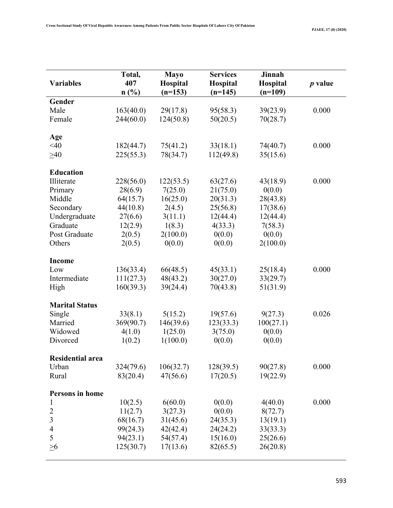|                          | Total,    | <b>Mayo</b> | <b>Services</b> | <b>Jinnah</b> |           |
|--------------------------|-----------|-------------|-----------------|---------------|-----------|
| <b>Variables</b>         | 407       | Hospital    | Hospital        | Hospital      | $p$ value |
|                          | n(%)      | $(n=153)$   | $(n=145)$       | $(n=109)$     |           |
| Gender                   |           |             |                 |               |           |
| Male                     | 163(40.0) | 29(17.8)    | 95(58.3)        | 39(23.9)      | 0.000     |
| Female                   | 244(60.0) | 124(50.8)   | 50(20.5)        | 70(28.7)      |           |
|                          |           |             |                 |               |           |
| Age                      |           |             |                 |               |           |
| $<$ 40                   | 182(44.7) | 75(41.2)    | 33(18.1)        | 74(40.7)      | 0.000     |
| $\geq 40$                | 225(55.3) | 78(34.7)    | 112(49.8)       | 35(15.6)      |           |
| <b>Education</b>         |           |             |                 |               |           |
| Illiterate               | 228(56.0) | 122(53.5)   | 63(27.6)        | 43(18.9)      | 0.000     |
| Primary                  | 28(6.9)   | 7(25.0)     | 21(75.0)        | 0(0.0)        |           |
| Middle                   | 64(15.7)  | 16(25.0)    | 20(31.3)        | 28(43.8)      |           |
| Secondary                | 44(10.8)  | 2(4.5)      | 25(56.8)        | 17(38.6)      |           |
| Undergraduate            | 27(6.6)   | 3(11.1)     | 12(44.4)        | 12(44.4)      |           |
| Graduate                 | 12(2.9)   | 1(8.3)      | 4(33.3)         | 7(58.3)       |           |
| Post Graduate            | 2(0.5)    | 2(100.0)    | 0(0.0)          | 0(0.0)        |           |
| Others                   | 2(0.5)    | 0(0.0)      | 0(0.0)          | 2(100.0)      |           |
|                          |           |             |                 |               |           |
| <b>Income</b>            |           |             |                 |               |           |
| Low                      | 136(33.4) | 66(48.5)    | 45(33.1)        | 25(18.4)      | 0.000     |
| Intermediate             | 111(27.3) | 48(43.2)    | 30(27.0)        | 33(29.7)      |           |
| High                     | 160(39.3) | 39(24.4)    | 70(43.8)        | 51(31.9)      |           |
|                          |           |             |                 |               |           |
| <b>Marital Status</b>    |           |             |                 |               |           |
| Single                   | 33(8.1)   | 5(15.2)     | 19(57.6)        | 9(27.3)       | 0.026     |
| Married                  | 369(90.7) | 146(39.6)   | 123(33.3)       | 100(27.1)     |           |
| Widowed                  | 4(1.0)    | 1(25.0)     | 3(75.0)         | 0(0.0)        |           |
| Divorced                 | 1(0.2)    | 1(100.0)    | 0(0.0)          | 0(0.0)        |           |
| Residential area         |           |             |                 |               |           |
| Urban                    | 324(79.6) | 106(32.7)   | 128(39.5)       | 90(27.8)      | 0.000     |
| Rural                    | 83(20.4)  | 47(56.6)    | 17(20.5)        | 19(22.9)      |           |
|                          |           |             |                 |               |           |
| Persons in home          |           |             |                 |               |           |
| 1                        | 10(2.5)   | 6(60.0)     | 0(0.0)          | 4(40.0)       | 0.000     |
| $\overline{c}$           | 11(2.7)   | 3(27.3)     | 0(0.0)          | 8(72.7)       |           |
| $\mathfrak{Z}$           | 68(16.7)  | 31(45.6)    | 24(35.3)        | 13(19.1)      |           |
| $\overline{\mathcal{A}}$ | 99(24.3)  | 42(42.4)    | 24(24.2)        | 33(33.3)      |           |
| 5                        | 94(23.1)  | 54(57.4)    | 15(16.0)        | 25(26.6)      |           |
| $\geq 6$                 | 125(30.7) | 17(13.6)    | 82(65.5)        | 26(20.8)      |           |
|                          |           |             |                 |               |           |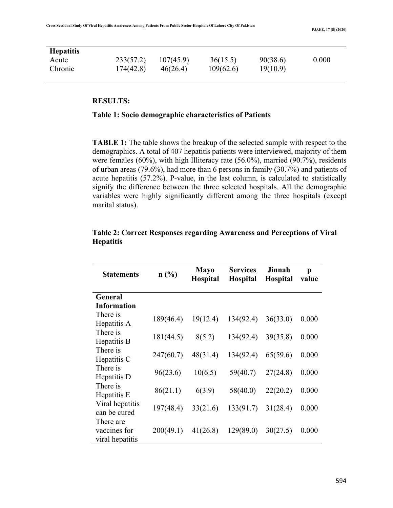| <b>Hepatitis</b> |           |           |           |          |       |
|------------------|-----------|-----------|-----------|----------|-------|
| Acute            | 233(57.2) | 107(45.9) | 36(15.5)  | 90(38.6) | 0.000 |
| Chronic          | 174(42.8) | 46(26.4)  | 109(62.6) | 19(10.9) |       |

### **RESULTS:**

### **Table 1: Socio demographic characteristics of Patients**

**TABLE 1:** The table shows the breakup of the selected sample with respect to the demographics. A total of 407 hepatitis patients were interviewed, majority of them were females (60%), with high Illiteracy rate (56.0%), married (90.7%), residents of urban areas (79.6%), had more than 6 persons in family (30.7%) and patients of acute hepatitis (57.2%). P-value, in the last column, is calculated to statistically signify the difference between the three selected hospitals. All the demographic variables were highly significantly different among the three hospitals (except marital status).

| <b>Statements</b>                            | n(%)      | <b>Mayo</b><br><b>Hospital</b> | <b>Services</b><br><b>Hospital</b> | Jinnah<br><b>Hospital</b> | p<br>value |
|----------------------------------------------|-----------|--------------------------------|------------------------------------|---------------------------|------------|
| General                                      |           |                                |                                    |                           |            |
| <b>Information</b>                           |           |                                |                                    |                           |            |
| There is<br>Hepatitis A                      | 189(46.4) | 19(12.4)                       | 134(92.4)                          | 36(33.0)                  | 0.000      |
| There is<br>Hepatitis B                      | 181(44.5) | 8(5.2)                         | 134(92.4)                          | 39(35.8)                  | 0.000      |
| There is<br>Hepatitis C                      | 247(60.7) | 48(31.4)                       | 134(92.4)                          | 65(59.6)                  | 0.000      |
| There is<br>Hepatitis D                      | 96(23.6)  | 10(6.5)                        | 59(40.7)                           | 27(24.8)                  | 0.000      |
| There is<br>Hepatitis E                      | 86(21.1)  | 6(3.9)                         | 58(40.0)                           | 22(20.2)                  | 0.000      |
| Viral hepatitis<br>can be cured              | 197(48.4) | 33(21.6)                       | 133(91.7)                          | 31(28.4)                  | 0.000      |
| There are<br>vaccines for<br>viral hepatitis | 200(49.1) | 41(26.8)                       | 129(89.0)                          | 30(27.5)                  | 0.000      |

### **Table 2: Correct Responses regarding Awareness and Perceptions of Viral Hepatitis**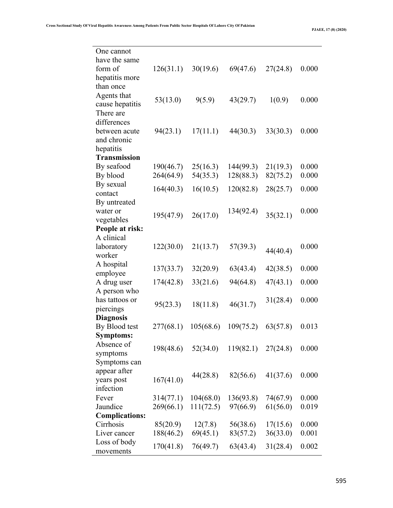**PJAEE, 17 (8) (2020)**

| One cannot                                 |           |           |           |          |       |
|--------------------------------------------|-----------|-----------|-----------|----------|-------|
| have the same<br>form of<br>hepatitis more | 126(31.1) | 30(19.6)  | 69(47.6)  | 27(24.8) | 0.000 |
| than once                                  |           |           |           |          |       |
| Agents that                                | 53(13.0)  | 9(5.9)    | 43(29.7)  | 1(0.9)   | 0.000 |
| cause hepatitis<br>There are               |           |           |           |          |       |
| differences                                |           |           |           |          |       |
| between acute                              | 94(23.1)  | 17(11.1)  | 44(30.3)  | 33(30.3) | 0.000 |
| and chronic<br>hepatitis                   |           |           |           |          |       |
| <b>Transmission</b>                        |           |           |           |          |       |
| By seafood                                 | 190(46.7) | 25(16.3)  | 144(99.3) | 21(19.3) | 0.000 |
| By blood                                   | 264(64.9) | 54(35.3)  | 128(88.3) | 82(75.2) | 0.000 |
| By sexual                                  | 164(40.3) | 16(10.5)  | 120(82.8) | 28(25.7) | 0.000 |
| contact<br>By untreated                    |           |           |           |          |       |
| water or                                   |           |           | 134(92.4) |          | 0.000 |
| vegetables                                 | 195(47.9) | 26(17.0)  |           | 35(32.1) |       |
| People at risk:                            |           |           |           |          |       |
| A clinical                                 |           |           |           |          |       |
| laboratory<br>worker                       | 122(30.0) | 21(13.7)  | 57(39.3)  | 44(40.4) | 0.000 |
| A hospital                                 |           |           |           |          |       |
| employee                                   | 137(33.7) | 32(20.9)  | 63(43.4)  | 42(38.5) | 0.000 |
| A drug user                                | 174(42.8) | 33(21.6)  | 94(64.8)  | 47(43.1) | 0.000 |
| A person who                               |           |           |           |          |       |
| has tattoos or                             | 95(23.3)  | 18(11.8)  | 46(31.7)  | 31(28.4) | 0.000 |
| piercings<br><b>Diagnosis</b>              |           |           |           |          |       |
| By Blood test                              | 277(68.1) | 105(68.6) | 109(75.2) | 63(57.8) | 0.013 |
| <b>Symptoms:</b>                           |           |           |           |          |       |
| Absence of                                 | 198(48.6) | 52(34.0)  | 119(82.1) | 27(24.8) | 0.000 |
| symptoms                                   |           |           |           |          |       |
| Symptoms can<br>appear after               |           |           |           |          |       |
| years post                                 | 167(41.0) | 44(28.8)  | 82(56.6)  | 41(37.6) | 0.000 |
| infection                                  |           |           |           |          |       |
| Fever                                      | 314(77.1) | 104(68.0) | 136(93.8) | 74(67.9) | 0.000 |
| Jaundice                                   | 269(66.1) | 111(72.5) | 97(66.9)  | 61(56.0) | 0.019 |
| <b>Complications:</b>                      |           |           |           |          |       |
| Cirrhosis<br>Liver cancer                  | 85(20.9)  | 12(7.8)   | 56(38.6)  | 17(15.6) | 0.000 |
| Loss of body                               | 188(46.2) | 69(45.1)  | 83(57.2)  | 36(33.0) | 0.001 |
| movements                                  | 170(41.8) | 76(49.7)  | 63(43.4)  | 31(28.4) | 0.002 |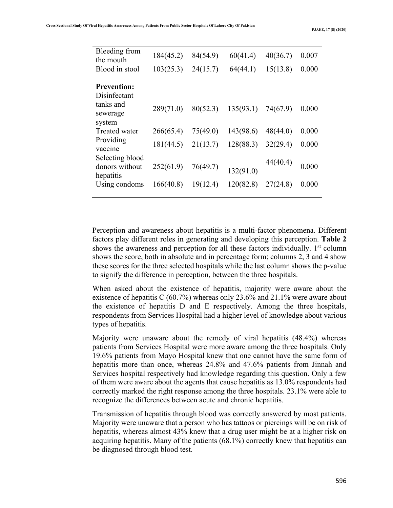| Bleeding from<br>the mouth                     | 184(45.2) | 84(54.9) | 60(41.4)  | 40(36.7) | 0.007 |
|------------------------------------------------|-----------|----------|-----------|----------|-------|
| Blood in stool                                 | 103(25.3) | 24(15.7) | 64(44.1)  | 15(13.8) | 0.000 |
| <b>Prevention:</b><br>Disinfectant             |           |          |           |          |       |
| tanks and<br>sewerage<br>system                | 289(71.0) | 80(52.3) | 135(93.1) | 74(67.9) | 0.000 |
| Treated water                                  | 266(65.4) | 75(49.0) | 143(98.6) | 48(44.0) | 0.000 |
| Providing<br>vaccine                           | 181(44.5) | 21(13.7) | 128(88.3) | 32(29.4) | 0.000 |
| Selecting blood<br>donors without<br>hepatitis | 252(61.9) | 76(49.7) | 132(91.0) | 44(40.4) | 0.000 |
| Using condoms                                  | 166(40.8) | 19(12.4) | 120(82.8) | 27(24.8) | 0.000 |

Perception and awareness about hepatitis is a multi-factor phenomena. Different factors play different roles in generating and developing this perception. **Table 2**  shows the awareness and perception for all these factors individually.  $1<sup>st</sup>$  column shows the score, both in absolute and in percentage form; columns 2, 3 and 4 show these scores for the three selected hospitals while the last column shows the p-value to signify the difference in perception, between the three hospitals.

When asked about the existence of hepatitis, majority were aware about the existence of hepatitis C (60.7%) whereas only 23.6% and 21.1% were aware about the existence of hepatitis D and E respectively. Among the three hospitals, respondents from Services Hospital had a higher level of knowledge about various types of hepatitis.

Majority were unaware about the remedy of viral hepatitis (48.4%) whereas patients from Services Hospital were more aware among the three hospitals. Only 19.6% patients from Mayo Hospital knew that one cannot have the same form of hepatitis more than once, whereas 24.8% and 47.6% patients from Jinnah and Services hospital respectively had knowledge regarding this question. Only a few of them were aware about the agents that cause hepatitis as 13.0% respondents had correctly marked the right response among the three hospitals. 23.1% were able to recognize the differences between acute and chronic hepatitis.

Transmission of hepatitis through blood was correctly answered by most patients. Majority were unaware that a person who has tattoos or piercings will be on risk of hepatitis, whereas almost 43% knew that a drug user might be at a higher risk on acquiring hepatitis. Many of the patients (68.1%) correctly knew that hepatitis can be diagnosed through blood test.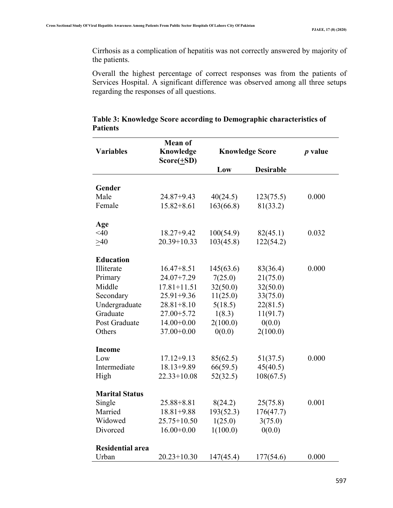Cirrhosis as a complication of hepatitis was not correctly answered by majority of the patients.

Overall the highest percentage of correct responses was from the patients of Services Hospital. A significant difference was observed among all three setups regarding the responses of all questions.

| <b>Variables</b>        | <b>Mean of</b><br>Knowledge |           | <b>Knowledge Score</b> |       |
|-------------------------|-----------------------------|-----------|------------------------|-------|
|                         | $Score(\pm SD)$             | Low       | <b>Desirable</b>       |       |
|                         |                             |           |                        |       |
| Gender                  |                             |           |                        |       |
| Male                    | 24.87+9.43                  | 40(24.5)  | 123(75.5)              | 0.000 |
| Female                  | $15.82 + 8.61$              | 163(66.8) | 81(33.2)               |       |
| Age                     |                             |           |                        |       |
| <40                     | $18.27 + 9.42$              | 100(54.9) | 82(45.1)               | 0.032 |
| $>40$                   | $20.39 + 10.33$             | 103(45.8) | 122(54.2)              |       |
| <b>Education</b>        |                             |           |                        |       |
| Illiterate              | $16.47 + 8.51$              | 145(63.6) | 83(36.4)               | 0.000 |
| Primary                 | 24.07+7.29                  | 7(25.0)   | 21(75.0)               |       |
| Middle                  | $17.81 + 11.51$             | 32(50.0)  | 32(50.0)               |       |
| Secondary               | 25.91+9.36                  | 11(25.0)  | 33(75.0)               |       |
| Undergraduate           | $28.81 + 8.10$              | 5(18.5)   | 22(81.5)               |       |
| Graduate                | 27.00+5.72                  | 1(8.3)    | 11(91.7)               |       |
| Post Graduate           | $14.00+0.00$                | 2(100.0)  | 0(0.0)                 |       |
| Others                  | 37.00+0.00                  | 0(0.0)    | 2(100.0)               |       |
| <b>Income</b>           |                             |           |                        |       |
| Low                     | $17.12 + 9.13$              | 85(62.5)  | 51(37.5)               | 0.000 |
| Intermediate            | $18.13 + 9.89$              | 66(59.5)  | 45(40.5)               |       |
| High                    | $22.33 + 10.08$             | 52(32.5)  | 108(67.5)              |       |
| <b>Marital Status</b>   |                             |           |                        |       |
| Single                  | 25.88+8.81                  | 8(24.2)   | 25(75.8)               | 0.001 |
| Married                 | $18.81 + 9.88$              | 193(52.3) | 176(47.7)              |       |
| Widowed                 | $25.75 + 10.50$             | 1(25.0)   | 3(75.0)                |       |
| Divorced                | $16.00+0.00$                | 1(100.0)  | 0(0.0)                 |       |
| <b>Residential area</b> |                             |           |                        |       |
| Urban                   | $20.23 + 10.30$             | 147(45.4) | 177(54.6)              | 0.000 |

## **Table 3: Knowledge Score according to Demographic characteristics of Patients**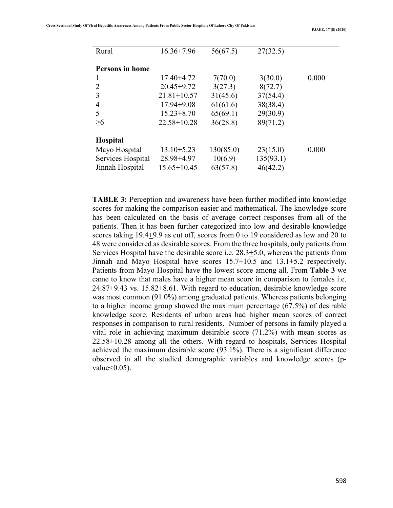| 0.000 |
|-------|
|       |
|       |
|       |
|       |
|       |
|       |
|       |
| 0.000 |
|       |
|       |
|       |
|       |

**TABLE 3:** Perception and awareness have been further modified into knowledge scores for making the comparison easier and mathematical. The knowledge score has been calculated on the basis of average correct responses from all of the patients. Then it has been further categorized into low and desirable knowledge scores taking 19.4+9.9 as cut off, scores from 0 to 19 considered as low and 20 to 48 were considered as desirable scores. From the three hospitals, only patients from Services Hospital have the desirable score i.e. 28.3+5.0, whereas the patients from Jinnah and Mayo Hospital have scores 15.7+10.5 and 13.1+5.2 respectively. Patients from Mayo Hospital have the lowest score among all. From **Table 3** we came to know that males have a higher mean score in comparison to females i.e. 24.87+9.43 vs. 15.82+8.61. With regard to education, desirable knowledge score was most common (91.0%) among graduated patients. Whereas patients belonging to a higher income group showed the maximum percentage (67.5%) of desirable knowledge score. Residents of urban areas had higher mean scores of correct responses in comparison to rural residents. Number of persons in family played a vital role in achieving maximum desirable score (71.2%) with mean scores as 22.58+10.28 among all the others. With regard to hospitals, Services Hospital achieved the maximum desirable score (93.1%). There is a significant difference observed in all the studied demographic variables and knowledge scores (pvalue $<0.05$ ).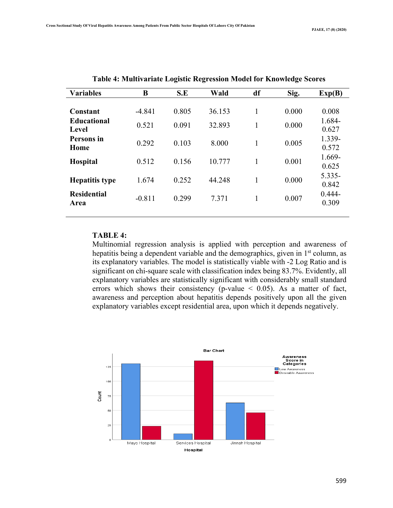| <b>Variables</b>            | B        | S.E   | Wald   | df           | Sig.  | Exp(B)             |
|-----------------------------|----------|-------|--------|--------------|-------|--------------------|
| Constant                    | $-4.841$ | 0.805 | 36.153 | $\mathbf{1}$ | 0.000 | 0.008              |
| <b>Educational</b><br>Level | 0.521    | 0.091 | 32.893 | 1            | 0.000 | 1.684-<br>0.627    |
| Persons in<br>Home          | 0.292    | 0.103 | 8.000  | 1            | 0.005 | 1.339-<br>0.572    |
| <b>Hospital</b>             | 0.512    | 0.156 | 10.777 | $\mathbf{1}$ | 0.001 | 1.669-<br>0.625    |
| <b>Hepatitis type</b>       | 1.674    | 0.252 | 44.248 | 1            | 0.000 | $5.335-$<br>0.842  |
| <b>Residential</b><br>Area  | $-0.811$ | 0.299 | 7.371  | 1            | 0.007 | $0.444 -$<br>0.309 |

| Table 4: Multivariate Logistic Regression Model for Knowledge Scores |  |  |
|----------------------------------------------------------------------|--|--|
|                                                                      |  |  |

### **TABLE 4:**

Multinomial regression analysis is applied with perception and awareness of hepatitis being a dependent variable and the demographics, given in 1<sup>st</sup> column, as its explanatory variables. The model is statistically viable with -2 Log Ratio and is significant on chi-square scale with classification index being 83.7%. Evidently, all explanatory variables are statistically significant with considerably small standard errors which shows their consistency (p-value  $\leq$  0.05). As a matter of fact, awareness and perception about hepatitis depends positively upon all the given explanatory variables except residential area, upon which it depends negatively.

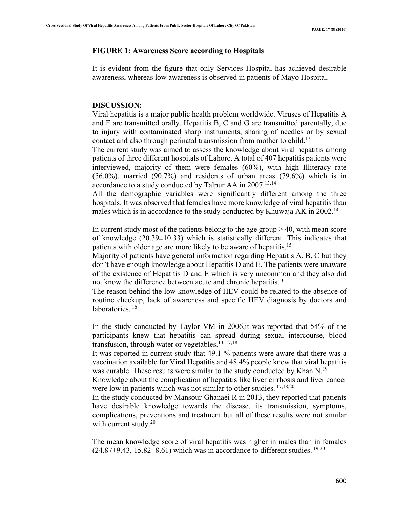### **FIGURE 1: Awareness Score according to Hospitals**

It is evident from the figure that only Services Hospital has achieved desirable awareness, whereas low awareness is observed in patients of Mayo Hospital.

### **DISCUSSION:**

Viral hepatitis is a major public health problem worldwide. Viruses of Hepatitis A and E are transmitted orally. Hepatitis B, C and G are transmitted parentally, due to injury with contaminated sharp instruments, sharing of needles or by sexual contact and also through perinatal transmission from mother to child.<sup>12</sup>

The current study was aimed to assess the knowledge about viral hepatitis among patients of three different hospitals of Lahore. A total of 407 hepatitis patients were interviewed, majority of them were females (60%), with high Illiteracy rate  $(56.0\%)$ , married  $(90.7\%)$  and residents of urban areas  $(79.6\%)$  which is in accordance to a study conducted by Talpur AA in  $2007$ <sup>13,14</sup>

All the demographic variables were significantly different among the three hospitals. It was observed that females have more knowledge of viral hepatitis than males which is in accordance to the study conducted by Khuwaja AK in 2002.<sup>14</sup>

In current study most of the patients belong to the age group  $> 40$ , with mean score of knowledge  $(20.39\pm10.33)$  which is statistically different. This indicates that patients with older age are more likely to be aware of hepatitis.15

Majority of patients have general information regarding Hepatitis A, B, C but they don't have enough knowledge about Hepatitis D and E. The patients were unaware of the existence of Hepatitis D and E which is very uncommon and they also did not know the difference between acute and chronic hepatitis.<sup>3</sup>

The reason behind the low knowledge of HEV could be related to the absence of routine checkup, lack of awareness and specific HEV diagnosis by doctors and laboratories.<sup>16</sup>

In the study conducted by Taylor VM in 2006,it was reported that 54% of the participants knew that hepatitis can spread during sexual intercourse, blood transfusion, through water or vegetables. 13, 17,18

It was reported in current study that 49.1 % patients were aware that there was a vaccination available for Viral Hepatitis and 48.4% people knew that viral hepatitis was curable. These results were similar to the study conducted by Khan N.<sup>19</sup>

Knowledge about the complication of hepatitis like liver cirrhosis and liver cancer were low in patients which was not similar to other studies. <sup>17,18,20</sup>

In the study conducted by Mansour-Ghanaei R in 2013, they reported that patients have desirable knowledge towards the disease, its transmission, symptoms, complications, preventions and treatment but all of these results were not similar with current study. $20$ 

The mean knowledge score of viral hepatitis was higher in males than in females  $(24.87\pm9.43, 15.82\pm8.61)$  which was in accordance to different studies. <sup>19,20</sup>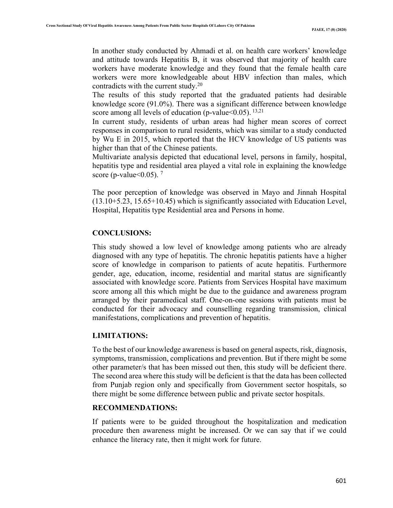In another study conducted by Ahmadi et al. on health care workers' knowledge and attitude towards Hepatitis B, it was observed that majority of health care workers have moderate knowledge and they found that the female health care workers were more knowledgeable about HBV infection than males, which contradicts with the current study. $20$ 

The results of this study reported that the graduated patients had desirable knowledge score (91.0%). There was a significant difference between knowledge score among all levels of education (p-value  $< 0.05$ ). <sup>13,21</sup>

In current study, residents of urban areas had higher mean scores of correct responses in comparison to rural residents, which was similar to a study conducted by Wu E in 2015, which reported that the HCV knowledge of US patients was higher than that of the Chinese patients.

Multivariate analysis depicted that educational level, persons in family, hospital, hepatitis type and residential area played a vital role in explaining the knowledge score (p-value  $0.05$ ). <sup>7</sup>

The poor perception of knowledge was observed in Mayo and Jinnah Hospital (13.10+5.23, 15.65+10.45) which is significantly associated with Education Level, Hospital, Hepatitis type Residential area and Persons in home.

### **CONCLUSIONS:**

This study showed a low level of knowledge among patients who are already diagnosed with any type of hepatitis. The chronic hepatitis patients have a higher score of knowledge in comparison to patients of acute hepatitis. Furthermore gender, age, education, income, residential and marital status are significantly associated with knowledge score. Patients from Services Hospital have maximum score among all this which might be due to the guidance and awareness program arranged by their paramedical staff. One-on-one sessions with patients must be conducted for their advocacy and counselling regarding transmission, clinical manifestations, complications and prevention of hepatitis.

### **LIMITATIONS:**

To the best of our knowledge awareness is based on general aspects, risk, diagnosis, symptoms, transmission, complications and prevention. But if there might be some other parameter/s that has been missed out then, this study will be deficient there. The second area where this study will be deficient is that the data has been collected from Punjab region only and specifically from Government sector hospitals, so there might be some difference between public and private sector hospitals.

### **RECOMMENDATIONS:**

If patients were to be guided throughout the hospitalization and medication procedure then awareness might be increased. Or we can say that if we could enhance the literacy rate, then it might work for future.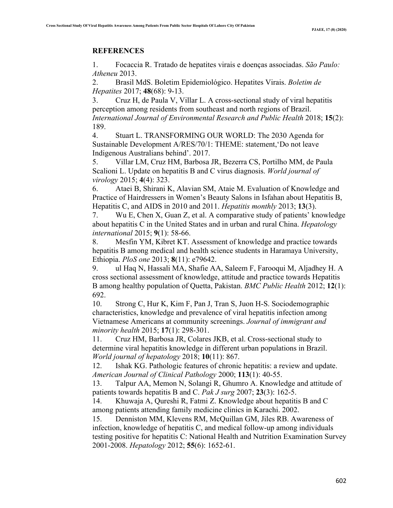### **REFERENCES**

1. Focaccia R. Tratado de hepatites virais e doenças associadas. *São Paulo: Atheneu* 2013.

2. Brasil MdS. Boletim Epidemiológico. Hepatites Virais. *Boletim de Hepatites* 2017; **48**(68): 9-13.

3. Cruz H, de Paula V, Villar L. A cross-sectional study of viral hepatitis perception among residents from southeast and north regions of Brazil. *International Journal of Environmental Research and Public Health* 2018; **15**(2): 189.

4. Stuart L. TRANSFORMING OUR WORLD: The 2030 Agenda for Sustainable Development A/RES/70/1: THEME: statement,'Do not leave Indigenous Australians behind'. 2017.

5. Villar LM, Cruz HM, Barbosa JR, Bezerra CS, Portilho MM, de Paula Scalioni L. Update on hepatitis B and C virus diagnosis. *World journal of virology* 2015; **4**(4): 323.

6. Ataei B, Shirani K, Alavian SM, Ataie M. Evaluation of Knowledge and Practice of Hairdressers in Women's Beauty Salons in Isfahan about Hepatitis B, Hepatitis C, and AIDS in 2010 and 2011. *Hepatitis monthly* 2013; **13**(3).

7. Wu E, Chen X, Guan Z, et al. A comparative study of patients' knowledge about hepatitis C in the United States and in urban and rural China. *Hepatology international* 2015; **9**(1): 58-66.

8. Mesfin YM, Kibret KT. Assessment of knowledge and practice towards hepatitis B among medical and health science students in Haramaya University, Ethiopia. *PloS one* 2013; **8**(11): e79642.

9. ul Haq N, Hassali MA, Shafie AA, Saleem F, Farooqui M, Aljadhey H. A cross sectional assessment of knowledge, attitude and practice towards Hepatitis B among healthy population of Quetta, Pakistan. *BMC Public Health* 2012; **12**(1): 692.

10. Strong C, Hur K, Kim F, Pan J, Tran S, Juon H-S. Sociodemographic characteristics, knowledge and prevalence of viral hepatitis infection among Vietnamese Americans at community screenings. *Journal of immigrant and minority health* 2015; **17**(1): 298-301.

11. Cruz HM, Barbosa JR, Colares JKB, et al. Cross-sectional study to determine viral hepatitis knowledge in different urban populations in Brazil. *World journal of hepatology* 2018; **10**(11): 867.

12. Ishak KG. Pathologic features of chronic hepatitis: a review and update. *American Journal of Clinical Pathology* 2000; **113**(1): 40-55.

13. Talpur AA, Memon N, Solangi R, Ghumro A. Knowledge and attitude of patients towards hepatitis B and C. *Pak J surg* 2007; **23**(3): 162-5.

14. Khuwaja A, Qureshi R, Fatmi Z. Knowledge about hepatitis B and C among patients attending family medicine clinics in Karachi. 2002.

15. Denniston MM, Klevens RM, McQuillan GM, Jiles RB. Awareness of infection, knowledge of hepatitis C, and medical follow‐up among individuals testing positive for hepatitis C: National Health and Nutrition Examination Survey 2001‐2008. *Hepatology* 2012; **55**(6): 1652-61.